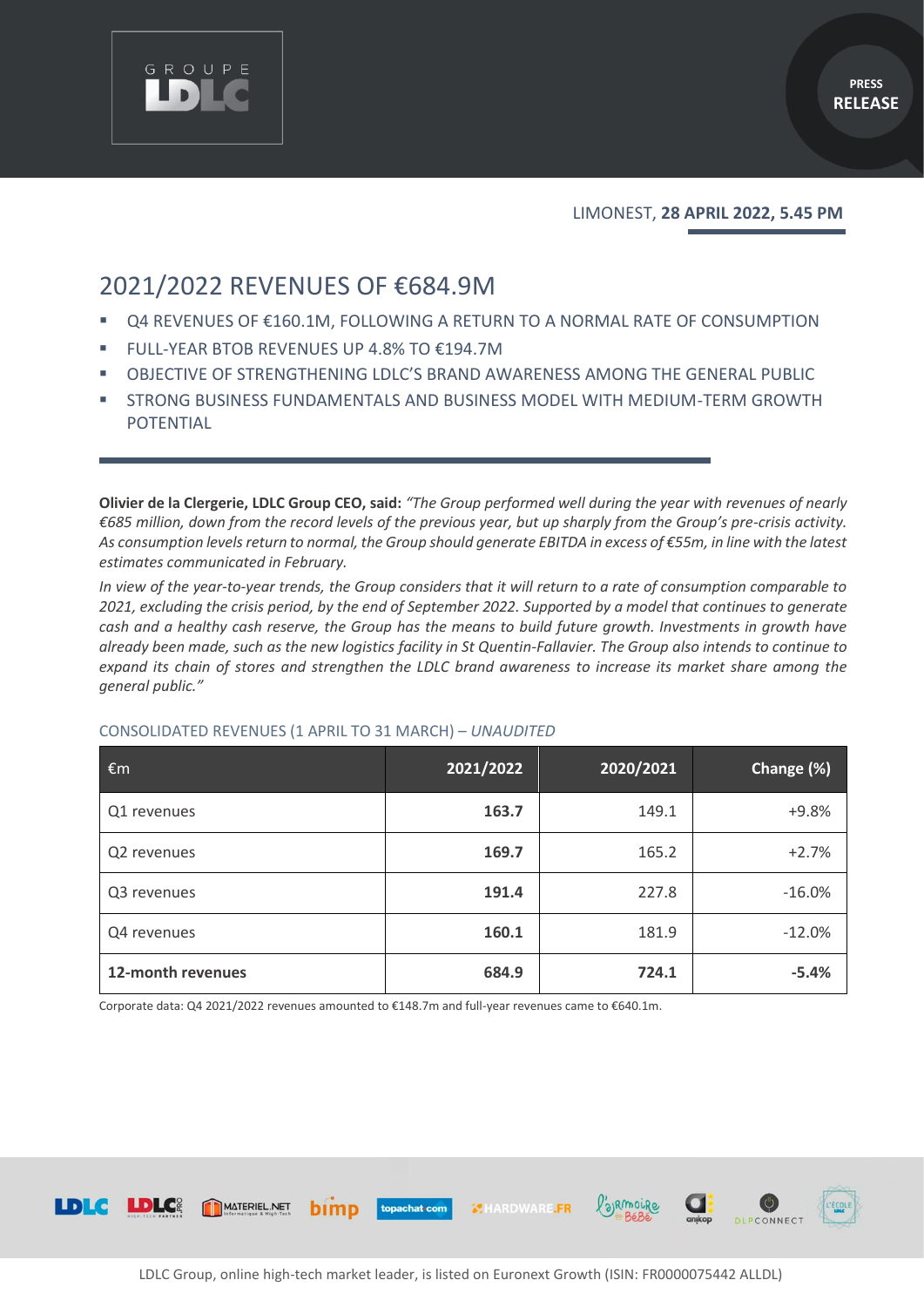

LIMONEST, **28 APRIL 2022, 5.45 PM**

# 2021/2022 REVENUES OF €684.9M

GROUPE

- Q4 REVENUES OF €160.1M, FOLLOWING A RETURN TO A NORMAL RATE OF CONSUMPTION
- FULL-YEAR BTOB REVENUES UP 4.8% TO €194.7M
- OBJECTIVE OF STRENGTHENING LDLC'S BRAND AWARENESS AMONG THE GENERAL PUBLIC
- **EXTRONG BUSINESS FUNDAMENTALS AND BUSINESS MODEL WITH MEDIUM-TERM GROWTH** POTENTIAL

**Olivier de la Clergerie, LDLC Group CEO, said:** "The Group performed well during the year with revenues of nearly *€685 million, down from the record levels of the previous year, but up sharply from the Group's pre-crisis activity. As consumption levels return to normal, the Group should generate EBITDA in excess of €55m, in line with the latest estimates communicated in February.*

*In view of the year-to-year trends, the Group considers that it will return to a rate of consumption comparable to 2021, excluding the crisis period, by the end of September 2022. Supported by a model that continues to generate cash and a healthy cash reserve, the Group has the means to build future growth. Investments in growth have already been made, such as the new logistics facility in St Quentin-Fallavier. The Group also intends to continue to expand its chain of stores and strengthen the LDLC brand awareness to increase its market share among the general public."* 

| $\epsilon$ m      | 2021/2022 | 2020/2021 | Change (%) |
|-------------------|-----------|-----------|------------|
| Q1 revenues       | 163.7     | 149.1     | $+9.8%$    |
| Q2 revenues       | 169.7     | 165.2     | $+2.7%$    |
| Q3 revenues       | 191.4     | 227.8     | $-16.0%$   |
| Q4 revenues       | 160.1     | 181.9     | $-12.0%$   |
| 12-month revenues | 684.9     | 724.1     | $-5.4%$    |

#### CONSOLIDATED REVENUES (1 APRIL TO 31 MARCH) – *UNAUDITED*

Corporate data: Q4 2021/2022 revenues amounted to €148.7m and full-year revenues came to €640.1m.

bimp

MATERIEL.NET



**MHARDWARE.FR** 

topachat com

/'a)RmoiRe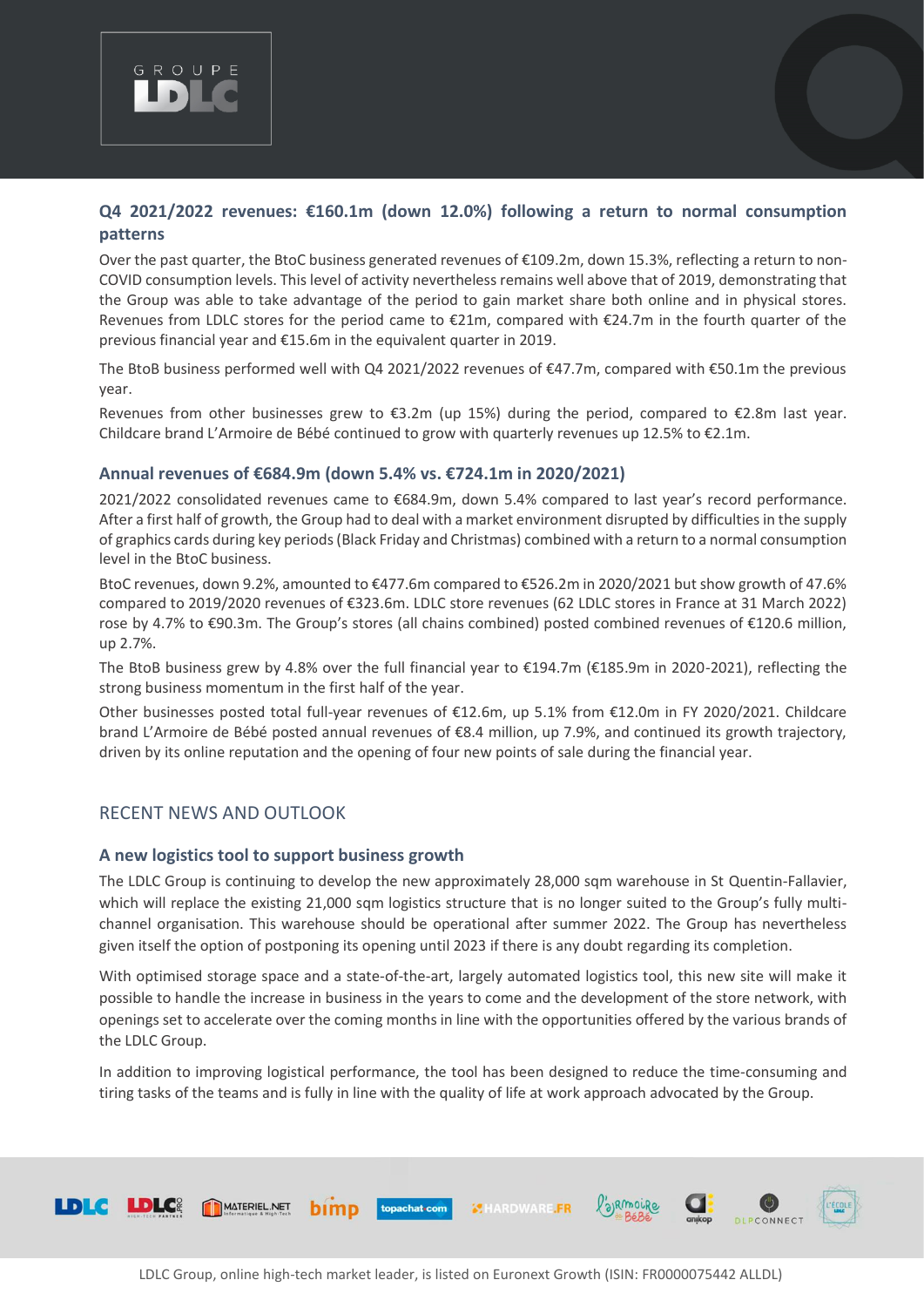

### **Q4 2021/2022 revenues: €160.1m (down 12.0%) following a return to normal consumption patterns**

Over the past quarter, the BtoC business generated revenues of €109.2m, down 15.3%, reflecting a return to non-COVID consumption levels. This level of activity nevertheless remains well above that of 2019, demonstrating that the Group was able to take advantage of the period to gain market share both online and in physical stores. Revenues from LDLC stores for the period came to €21m, compared with €24.7m in the fourth quarter of the previous financial year and €15.6m in the equivalent quarter in 2019.

The BtoB business performed well with Q4 2021/2022 revenues of €47.7m, compared with €50.1m the previous year.

Revenues from other businesses grew to €3.2m (up 15%) during the period, compared to €2.8m last year. Childcare brand L'Armoire de Bébé continued to grow with quarterly revenues up 12.5% to €2.1m.

#### **Annual revenues of €684.9m (down 5.4% vs. €724.1m in 2020/2021)**

2021/2022 consolidated revenues came to €684.9m, down 5.4% compared to last year's record performance. After a first half of growth, the Group had to deal with a market environment disrupted by difficulties in the supply of graphics cards during key periods (Black Friday and Christmas) combined with a return to a normal consumption level in the BtoC business.

BtoC revenues, down 9.2%, amounted to €477.6m compared to €526.2m in 2020/2021 but show growth of 47.6% compared to 2019/2020 revenues of €323.6m. LDLC store revenues (62 LDLC stores in France at 31 March 2022) rose by 4.7% to €90.3m. The Group's stores (all chains combined) posted combined revenues of €120.6 million, up 2.7%.

The BtoB business grew by 4.8% over the full financial year to €194.7m (€185.9m in 2020-2021), reflecting the strong business momentum in the first half of the year.

Other businesses posted total full-year revenues of €12.6m, up 5.1% from €12.0m in FY 2020/2021. Childcare brand L'Armoire de Bébé posted annual revenues of €8.4 million, up 7.9%, and continued its growth trajectory, driven by its online reputation and the opening of four new points of sale during the financial year.

#### RECENT NEWS AND OUTLOOK

#### **A new logistics tool to support business growth**

The LDLC Group is continuing to develop the new approximately 28,000 sqm warehouse in St Quentin-Fallavier, which will replace the existing 21,000 sqm logistics structure that is no longer suited to the Group's fully multichannel organisation. This warehouse should be operational after summer 2022. The Group has nevertheless given itself the option of postponing its opening until 2023 if there is any doubt regarding its completion.

With optimised storage space and a state-of-the-art, largely automated logistics tool, this new site will make it possible to handle the increase in business in the years to come and the development of the store network, with openings set to accelerate over the coming months in line with the opportunities offered by the various brands of the LDLC Group.

In addition to improving logistical performance, the tool has been designed to reduce the time-consuming and tiring tasks of the teams and is fully in line with the quality of life at work approach advocated by the Group.

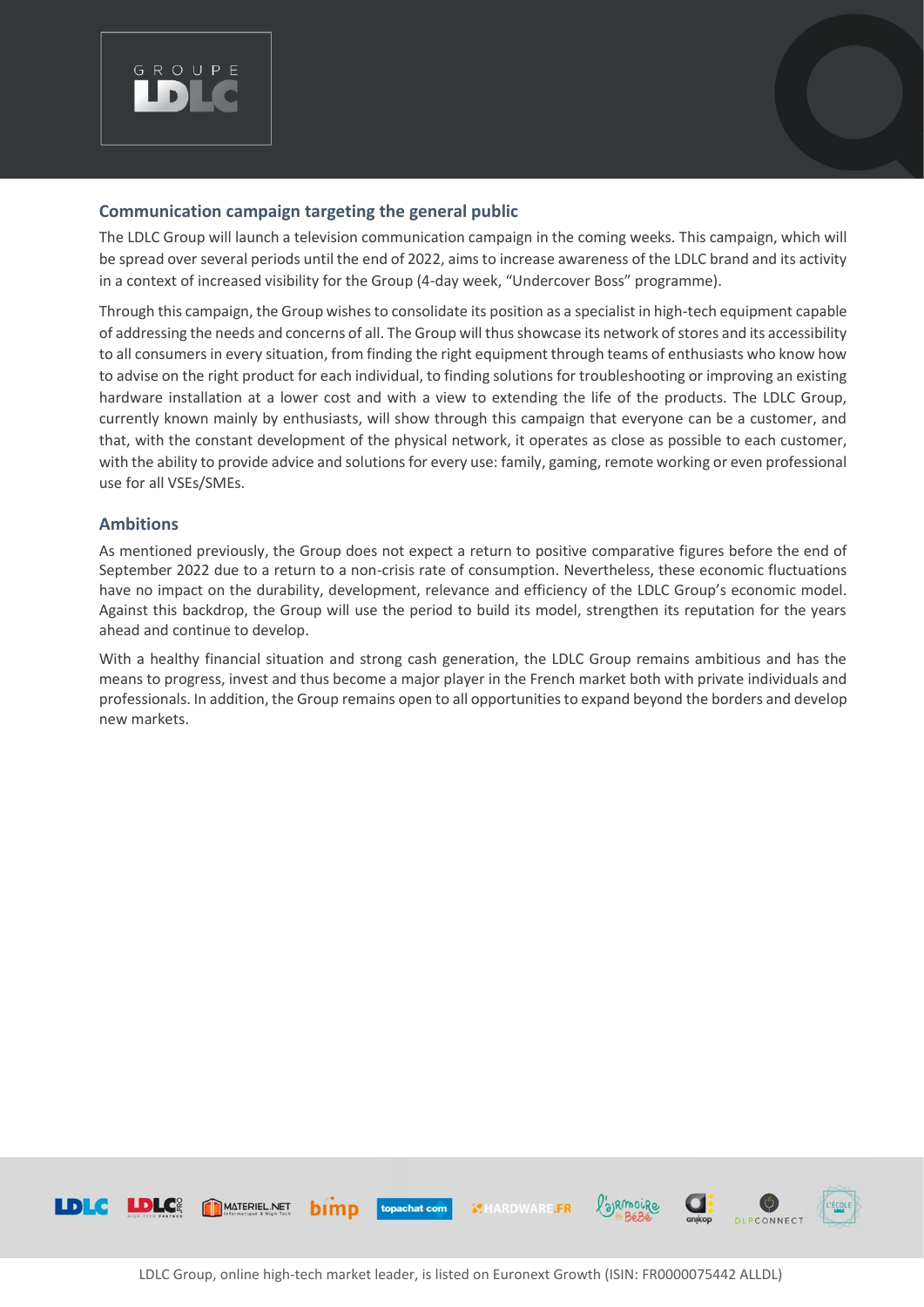

#### **Communication campaign targeting the general public**

The LDLC Group will launch a television communication campaign in the coming weeks. This campaign, which will be spread over several periods until the end of 2022, aims to increase awareness of the LDLC brand and its activity in a context of increased visibility for the Group (4-day week, "Undercover Boss" programme).

Through this campaign, the Group wishes to consolidate its position as a specialist in high-tech equipment capable of addressing the needs and concerns of all. The Group will thus showcase its network of stores and its accessibility to all consumers in every situation, from finding the right equipment through teams of enthusiasts who know how to advise on the right product for each individual, to finding solutions for troubleshooting or improving an existing hardware installation at a lower cost and with a view to extending the life of the products. The LDLC Group, currently known mainly by enthusiasts, will show through this campaign that everyone can be a customer, and that, with the constant development of the physical network, it operates as close as possible to each customer, with the ability to provide advice and solutions for every use: family, gaming, remote working or even professional use for all VSEs/SMEs.

#### **Ambitions**

As mentioned previously, the Group does not expect a return to positive comparative figures before the end of September 2022 due to a return to a non-crisis rate of consumption. Nevertheless, these economic fluctuations have no impact on the durability, development, relevance and efficiency of the LDLC Group's economic model. Against this backdrop, the Group will use the period to build its model, strengthen its reputation for the years ahead and continue to develop.

With a healthy financial situation and strong cash generation, the LDLC Group remains ambitious and has the means to progress, invest and thus become a major player in the French market both with private individuals and professionals. In addition, the Group remains open to all opportunities to expand beyond the borders and develop new markets.